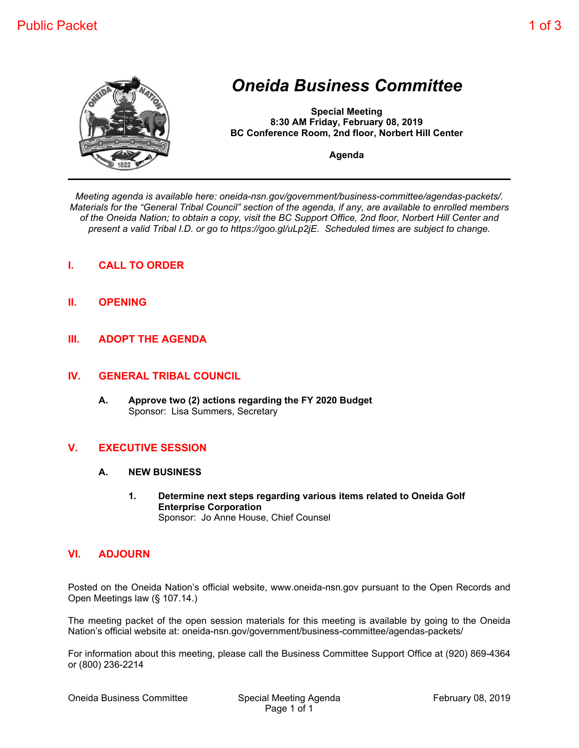

# *Oneida Business Committee*

**Special Meeting 8:30 AM Friday, February 08, 2019 BC Conference Room, 2nd floor, Norbert Hill Center**

**Agenda**

*Meeting agenda is available here: oneida-nsn.gov/government/business-committee/agendas-packets/. Materials for the "General Tribal Council" section of the agenda, if any, are available to enrolled members of the Oneida Nation; to obtain a copy, visit the BC Support Office, 2nd floor, Norbert Hill Center and present a valid Tribal I.D. or go to https://goo.gl/uLp2jE. Scheduled times are subject to change.*

- **I. CALL TO ORDER**
- **II. OPENING**
- **III. ADOPT THE AGENDA**

## **IV. GENERAL TRIBAL COUNCIL**

**A. Approve two (2) actions regarding the FY 2020 Budget** Sponsor: Lisa Summers, Secretary

## **V. EXECUTIVE SESSION**

#### **A. NEW BUSINESS**

**1. Determine next steps regarding various items related to Oneida Golf Enterprise Corporation** Sponsor: Jo Anne House, Chief Counsel

#### **VI. ADJOURN**

Posted on the Oneida Nation's official website, www.oneida-nsn.gov pursuant to the Open Records and Open Meetings law (§ 107.14.)

The meeting packet of the open session materials for this meeting is available by going to the Oneida Nation's official website at: oneida-nsn.gov/government/business-committee/agendas-packets/

For information about this meeting, please call the Business Committee Support Office at (920) 869-4364 or (800) 236-2214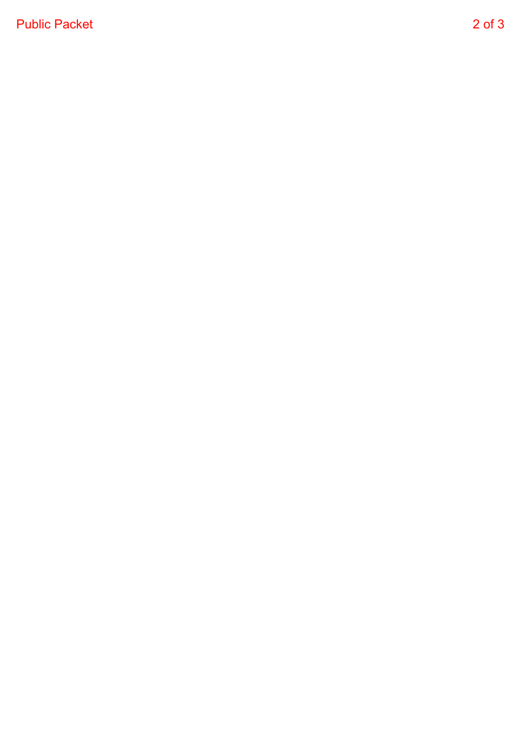Public Packet 2 of 3